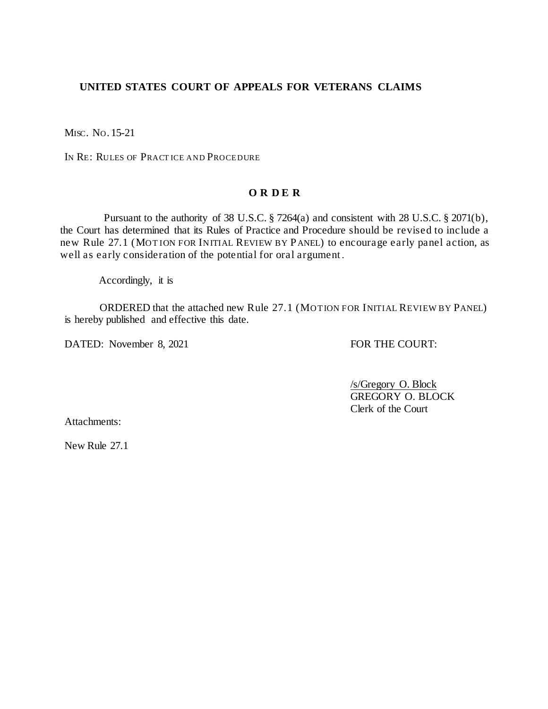#### **UNITED STATES COURT OF APPEALS FOR VETERANS CLAIMS**

MISC. NO. 15-21

IN RE: RULES OF PRACT ICE AND PROCEDURE

#### **O R D E R**

 Pursuant to the authority of 38 U.S.C. § 7264(a) and consistent with 28 U.S.C. § 2071(b), the Court has determined that its Rules of Practice and Procedure should be revised to include a new Rule 27.1 (MOT ION FOR INITIAL REVIEW BY PANEL) to encourage early panel action, as well as early consideration of the potential for oral argument .

Accordingly, it is

ORDERED that the attached new Rule 27.1 (MOT ION FOR INITIAL REVIEW BY PANEL) is hereby published and effective this date.

DATED: November 8, 2021 FOR THE COURT:

/s/Gregory O. Block GREGORY O. BLOCK Clerk of the Court

Attachments:

New Rule 27.1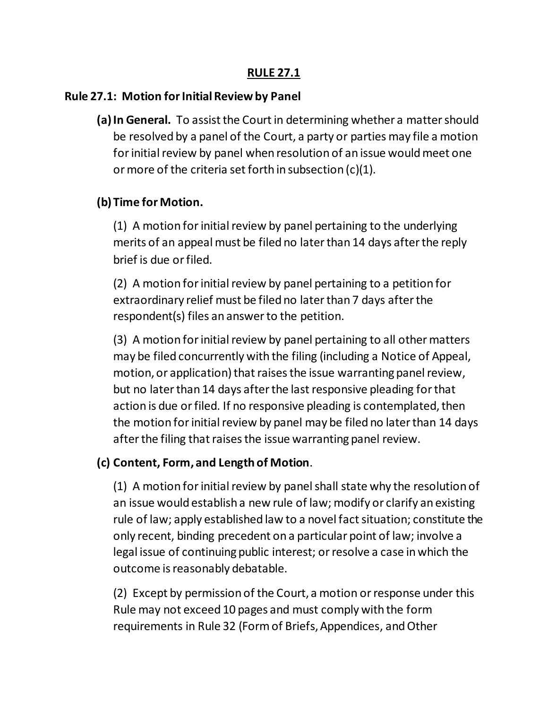### **RULE 27.1**

### **Rule 27.1: Motion for Initial Review by Panel**

**(a)In General.** To assist the Court in determining whether a matter should be resolved by a panel of the Court, a party or parties may file a motion for initial review by panel when resolution of an issue would meet one or more of the criteria set forth in subsection (c)(1).

## **(b) Time for Motion.**

(1) A motion for initial review by panel pertaining to the underlying merits of an appeal must be filed no later than 14 days after the reply brief is due or filed.

(2) A motion for initial review by panel pertaining to a petition for extraordinary relief must be filed no later than 7 days after the respondent(s) files an answer to the petition.

(3) A motion for initial review by panel pertaining to all other matters may be filed concurrently with the filing (including a Notice of Appeal, motion, or application) that raises the issue warranting panel review, but no later than 14 days after the last responsive pleading for that action is due or filed. If no responsive pleading is contemplated, then the motion for initial review by panel may be filed no later than 14 days after the filing that raises the issue warranting panel review.

# **(c) Content, Form, and Length of Motion**.

(1) A motion for initial review by panel shall state why the resolution of an issue would establish a new rule of law; modify or clarify an existing rule of law; apply established law to a novel fact situation; constitute the only recent, binding precedent on a particular point of law; involve a legal issue of continuing public interest; or resolve a case in which the outcome is reasonably debatable.

(2) Except by permission of the Court, a motion or response under this Rule may not exceed 10 pages and must comply with the form requirements in Rule 32 (Form of Briefs, Appendices, and Other